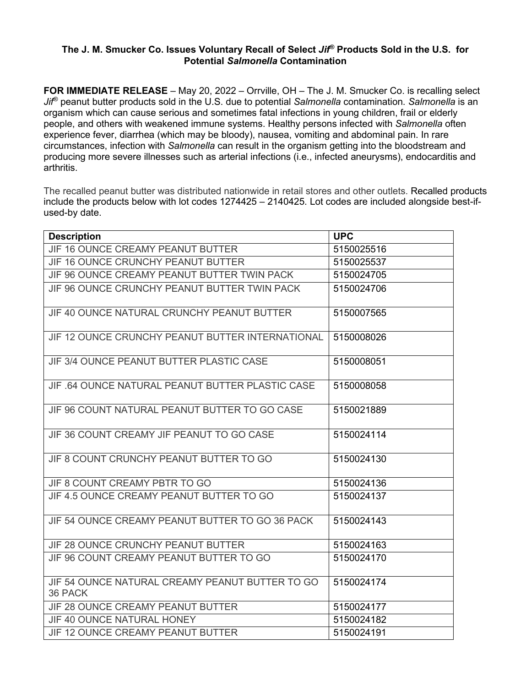## **The J. M. Smucker Co. Issues Voluntary Recall of Select** *Jif®* **Products Sold in the U.S. for Potential** *Salmonella* **Contamination**

**FOR IMMEDIATE RELEASE** – May 20, 2022 – Orrville, OH – The J. M. Smucker Co. is recalling select *Jif®* peanut butter products sold in the U.S. due to potential *Salmonella* contamination. *Salmonella* is an organism which can cause serious and sometimes fatal infections in young children, frail or elderly people, and others with weakened immune systems. Healthy persons infected with *Salmonella* often experience fever, diarrhea (which may be bloody), nausea, vomiting and abdominal pain. In rare circumstances, infection with *Salmonella* can result in the organism getting into the bloodstream and producing more severe illnesses such as arterial infections (i.e., infected aneurysms), endocarditis and arthritis.

The recalled peanut butter was distributed nationwide in retail stores and other outlets. Recalled products include the products below with lot codes 1274425 – 2140425. Lot codes are included alongside best-ifused-by date.

| <b>Description</b>                                         | <b>UPC</b> |
|------------------------------------------------------------|------------|
| JIF 16 OUNCE CREAMY PEANUT BUTTER                          | 5150025516 |
| JIF 16 OUNCE CRUNCHY PEANUT BUTTER                         | 5150025537 |
| JIF 96 OUNCE CREAMY PEANUT BUTTER TWIN PACK                | 5150024705 |
| JIF 96 OUNCE CRUNCHY PEANUT BUTTER TWIN PACK               | 5150024706 |
| JIF 40 OUNCE NATURAL CRUNCHY PEANUT BUTTER                 | 5150007565 |
| JIF 12 OUNCE CRUNCHY PEANUT BUTTER INTERNATIONAL           | 5150008026 |
| JIF 3/4 OUNCE PEANUT BUTTER PLASTIC CASE                   | 5150008051 |
| JIF .64 OUNCE NATURAL PEANUT BUTTER PLASTIC CASE           | 5150008058 |
| JIF 96 COUNT NATURAL PEANUT BUTTER TO GO CASE              | 5150021889 |
| JIF 36 COUNT CREAMY JIF PEANUT TO GO CASE                  | 5150024114 |
| JIF 8 COUNT CRUNCHY PEANUT BUTTER TO GO                    | 5150024130 |
| JIF 8 COUNT CREAMY PBTR TO GO                              | 5150024136 |
| JIF 4.5 OUNCE CREAMY PEANUT BUTTER TO GO                   | 5150024137 |
| JIF 54 OUNCE CREAMY PEANUT BUTTER TO GO 36 PACK            | 5150024143 |
| JIF 28 OUNCE CRUNCHY PEANUT BUTTER                         | 5150024163 |
| JIF 96 COUNT CREAMY PEANUT BUTTER TO GO                    | 5150024170 |
| JIF 54 OUNCE NATURAL CREAMY PEANUT BUTTER TO GO<br>36 PACK | 5150024174 |
| JIF 28 OUNCE CREAMY PEANUT BUTTER                          | 5150024177 |
| JIF 40 OUNCE NATURAL HONEY                                 | 5150024182 |
| JIF 12 OUNCE CREAMY PEANUT BUTTER                          | 5150024191 |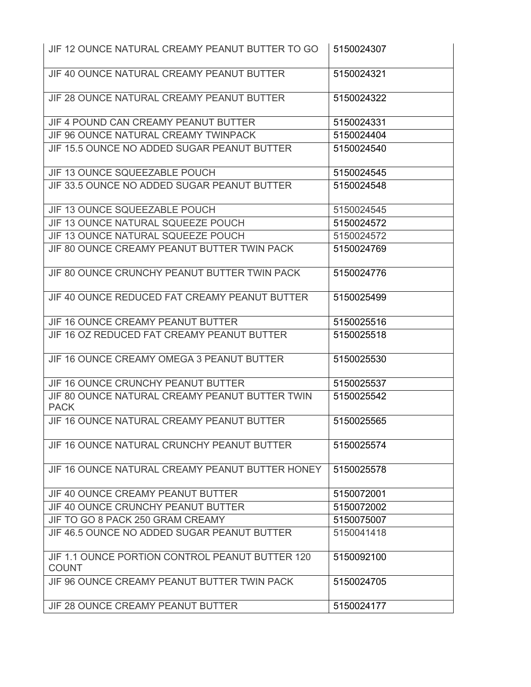| JIF 12 OUNCE NATURAL CREAMY PEANUT BUTTER TO GO                 | 5150024307 |
|-----------------------------------------------------------------|------------|
| JIF 40 OUNCE NATURAL CREAMY PEANUT BUTTER                       | 5150024321 |
| JIF 28 OUNCE NATURAL CREAMY PEANUT BUTTER                       | 5150024322 |
| JIF 4 POUND CAN CREAMY PEANUT BUTTER                            | 5150024331 |
| JIF 96 OUNCE NATURAL CREAMY TWINPACK                            | 5150024404 |
| JIF 15.5 OUNCE NO ADDED SUGAR PEANUT BUTTER                     | 5150024540 |
| JIF 13 OUNCE SQUEEZABLE POUCH                                   | 5150024545 |
| JIF 33.5 OUNCE NO ADDED SUGAR PEANUT BUTTER                     | 5150024548 |
| JIF 13 OUNCE SQUEEZABLE POUCH                                   | 5150024545 |
| JIF 13 OUNCE NATURAL SQUEEZE POUCH                              | 5150024572 |
| JIF 13 OUNCE NATURAL SQUEEZE POUCH                              | 5150024572 |
| JIF 80 OUNCE CREAMY PEANUT BUTTER TWIN PACK                     | 5150024769 |
| JIF 80 OUNCE CRUNCHY PEANUT BUTTER TWIN PACK                    | 5150024776 |
| JIF 40 OUNCE REDUCED FAT CREAMY PEANUT BUTTER                   | 5150025499 |
| JIF 16 OUNCE CREAMY PEANUT BUTTER                               | 5150025516 |
| JIF 16 OZ REDUCED FAT CREAMY PEANUT BUTTER                      | 5150025518 |
| JIF 16 OUNCE CREAMY OMEGA 3 PEANUT BUTTER                       | 5150025530 |
| JIF 16 OUNCE CRUNCHY PEANUT BUTTER                              | 5150025537 |
| JIF 80 OUNCE NATURAL CREAMY PEANUT BUTTER TWIN<br><b>PACK</b>   | 5150025542 |
| JIF 16 OUNCE NATURAL CREAMY PEANUT BUTTER                       | 5150025565 |
| JIF 16 OUNCE NATURAL CRUNCHY PEANUT BUTTER                      | 5150025574 |
| JIF 16 OUNCE NATURAL CREAMY PEANUT BUTTER HONEY                 | 5150025578 |
| JIF 40 OUNCE CREAMY PEANUT BUTTER                               | 5150072001 |
| <b>JIF 40 OUNCE CRUNCHY PEANUT BUTTER</b>                       | 5150072002 |
| JIF TO GO 8 PACK 250 GRAM CREAMY                                | 5150075007 |
| JIF 46.5 OUNCE NO ADDED SUGAR PEANUT BUTTER                     | 5150041418 |
| JIF 1.1 OUNCE PORTION CONTROL PEANUT BUTTER 120<br><b>COUNT</b> | 5150092100 |
| JIF 96 OUNCE CREAMY PEANUT BUTTER TWIN PACK                     | 5150024705 |
| JIF 28 OUNCE CREAMY PEANUT BUTTER                               | 5150024177 |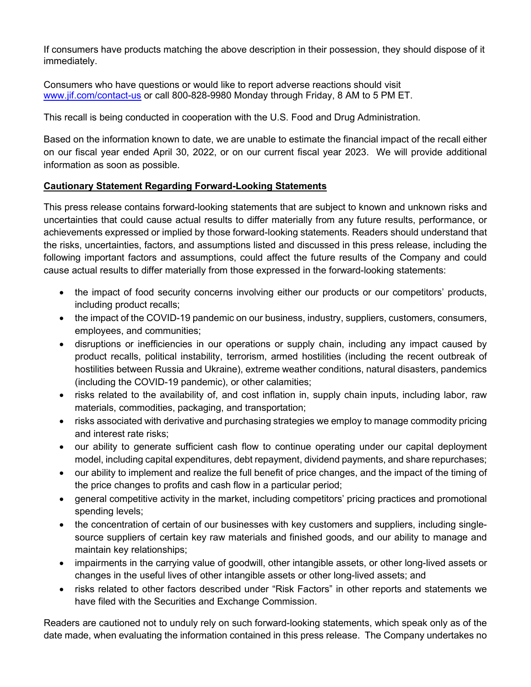If consumers have products matching the above description in their possession, they should dispose of it immediately.

Consumers who have questions or would like to report adverse reactions should visit [www.jif.com/contact-us](http://www.jif.com/contact-us) or call 800-828-9980 Monday through Friday, 8 AM to 5 PM ET.

This recall is being conducted in cooperation with the U.S. Food and Drug Administration.

Based on the information known to date, we are unable to estimate the financial impact of the recall either on our fiscal year ended April 30, 2022, or on our current fiscal year 2023. We will provide additional information as soon as possible.

## **Cautionary Statement Regarding Forward-Looking Statements**

This press release contains forward-looking statements that are subject to known and unknown risks and uncertainties that could cause actual results to differ materially from any future results, performance, or achievements expressed or implied by those forward-looking statements. Readers should understand that the risks, uncertainties, factors, and assumptions listed and discussed in this press release, including the following important factors and assumptions, could affect the future results of the Company and could cause actual results to differ materially from those expressed in the forward-looking statements:

- the impact of food security concerns involving either our products or our competitors' products, including product recalls;
- the impact of the COVID-19 pandemic on our business, industry, suppliers, customers, consumers, employees, and communities;
- disruptions or inefficiencies in our operations or supply chain, including any impact caused by product recalls, political instability, terrorism, armed hostilities (including the recent outbreak of hostilities between Russia and Ukraine), extreme weather conditions, natural disasters, pandemics (including the COVID-19 pandemic), or other calamities;
- risks related to the availability of, and cost inflation in, supply chain inputs, including labor, raw materials, commodities, packaging, and transportation;
- risks associated with derivative and purchasing strategies we employ to manage commodity pricing and interest rate risks;
- our ability to generate sufficient cash flow to continue operating under our capital deployment model, including capital expenditures, debt repayment, dividend payments, and share repurchases;
- our ability to implement and realize the full benefit of price changes, and the impact of the timing of the price changes to profits and cash flow in a particular period;
- general competitive activity in the market, including competitors' pricing practices and promotional spending levels;
- the concentration of certain of our businesses with key customers and suppliers, including singlesource suppliers of certain key raw materials and finished goods, and our ability to manage and maintain key relationships;
- impairments in the carrying value of goodwill, other intangible assets, or other long-lived assets or changes in the useful lives of other intangible assets or other long-lived assets; and
- risks related to other factors described under "Risk Factors" in other reports and statements we have filed with the Securities and Exchange Commission.

Readers are cautioned not to unduly rely on such forward-looking statements, which speak only as of the date made, when evaluating the information contained in this press release. The Company undertakes no